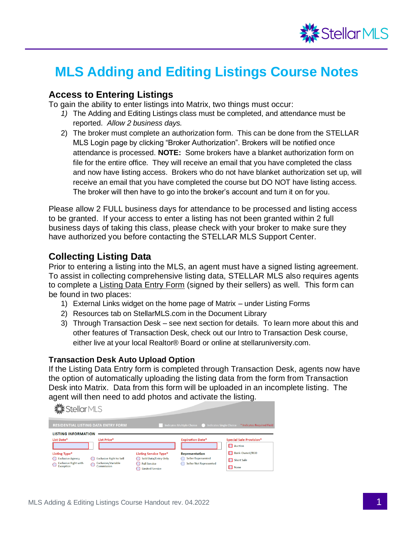

# **MLS Adding and Editing Listings Course Notes**

#### **Access to Entering Listings**

To gain the ability to enter listings into Matrix, two things must occur:

- *1)* The Adding and Editing Listings class must be completed, and attendance must be reported. *Allow 2 business days.*
- 2) The broker must complete an authorization form. This can be done from the STELLAR MLS Login page by clicking "Broker Authorization". Brokers will be notified once attendance is processed. **NOTE:** Some brokers have a blanket authorization form on file for the entire office. They will receive an email that you have completed the class and now have listing access. Brokers who do not have blanket authorization set up, will receive an email that you have completed the course but DO NOT have listing access. The broker will then have to go into the broker's account and turn it on for you.

Please allow 2 FULL business days for attendance to be processed and listing access to be granted. If your access to enter a listing has not been granted within 2 full business days of taking this class, please check with your broker to make sure they have authorized you before contacting the STELLAR MLS Support Center.

#### **Collecting Listing Data**

Prior to entering a listing into the MLS, an agent must have a signed listing agreement. To assist in collecting comprehensive listing data, STELLAR MLS also requires agents to complete a Listing Data Entry Form (signed by their sellers) as well. This form can be found in two places:

- 1) External Links widget on the home page of Matrix under Listing Forms
- 2) Resources tab on StellarMLS.com in the Document Library
- 3) Through Transaction Desk see next section for details. To learn more about this and other features of Transaction Desk, check out our Intro to Transaction Desk course, either live at your local Realtor® Board or online at stellaruniversity.com.

#### **Transaction Desk Auto Upload Option**

If the Listing Data Entry form is completed through Transaction Desk, agents now have the option of automatically uploading the listing data from the form from Transaction Desk into Matrix. Data from this form will be uploaded in an incomplete listing. The agent will then need to add photos and activate the listing.

**卷stellarMLS** 

|                                                                               | <b>RESIDENTIAL LISTING DATA ENTRY FORM</b>                                |                                                                                                       |                                                                                     | Indicates Multiple Choice (Capablicates Single Choice * Indicates Required Fiel |
|-------------------------------------------------------------------------------|---------------------------------------------------------------------------|-------------------------------------------------------------------------------------------------------|-------------------------------------------------------------------------------------|---------------------------------------------------------------------------------|
| <b>LISTING INFORMATION</b><br>List Date*                                      | <b>List Price*</b>                                                        |                                                                                                       | <b>Expiration Date*</b>                                                             | <b>Special Sale Provision*</b><br>Auction                                       |
| Listing Type*<br>Exclusive Agency<br><b>Exclusive Right with</b><br>Exception | <b>Exclusive Right to Sell</b><br><b>Exclusion/Variable</b><br>Commission | <b>Listing Service Type*</b><br>Sold Data/Entry Only<br><b>Full Service</b><br><b>Limited Service</b> | <b>Representation</b><br><b>Seller Represented</b><br><b>Seller Not Represented</b> | Bank-Owned/REO<br>Short Sale<br>None                                            |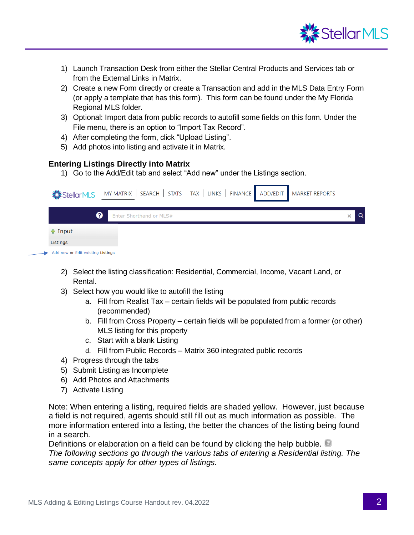

- 1) Launch Transaction Desk from either the Stellar Central Products and Services tab or from the External Links in Matrix.
- 2) Create a new Form directly or create a Transaction and add in the MLS Data Entry Form (or apply a template that has this form). This form can be found under the My Florida Regional MLS folder.
- 3) Optional: Import data from public records to autofill some fields on this form. Under the File menu, there is an option to "Import Tax Record".
- 4) After completing the form, click "Upload Listing".
- 5) Add photos into listing and activate it in Matrix.

#### **Entering Listings Directly into Matrix**

1) Go to the Add/Edit tab and select "Add new" under the Listings section.

|                                          | Stellar MLS MY MATRIX   SEARCH   STATS   TAX   LINKS   FINANCE   ADD/EDIT   MARKET REPORTS |  |
|------------------------------------------|--------------------------------------------------------------------------------------------|--|
| ଵ                                        | Enter Shorthand or MLS#                                                                    |  |
| $\div$ Input                             |                                                                                            |  |
| Listings                                 |                                                                                            |  |
| $\sim$ Add new or Edit existing Listings |                                                                                            |  |

- 2) Select the listing classification: Residential, Commercial, Income, Vacant Land, or Rental.
- 3) Select how you would like to autofill the listing
	- a. Fill from Realist Tax certain fields will be populated from public records (recommended)
	- b. Fill from Cross Property certain fields will be populated from a former (or other) MLS listing for this property
	- c. Start with a blank Listing
	- d. Fill from Public Records Matrix 360 integrated public records
- 4) Progress through the tabs
- 5) Submit Listing as Incomplete
- 6) Add Photos and Attachments
- 7) Activate Listing

Note: When entering a listing, required fields are shaded yellow. However, just because a field is not required, agents should still fill out as much information as possible. The more information entered into a listing, the better the chances of the listing being found in a search.

Definitions or elaboration on a field can be found by clicking the help bubble. *The following sections go through the various tabs of entering a Residential listing. The same concepts apply for other types of listings.*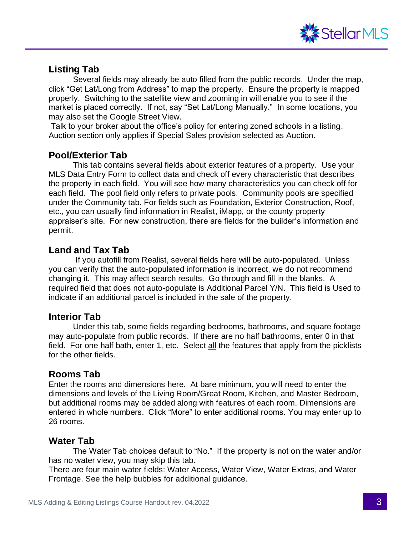

# **Listing Tab**

Several fields may already be auto filled from the public records. Under the map, click "Get Lat/Long from Address" to map the property. Ensure the property is mapped properly. Switching to the satellite view and zooming in will enable you to see if the market is placed correctly. If not, say "Set Lat/Long Manually." In some locations, you may also set the Google Street View.

Talk to your broker about the office's policy for entering zoned schools in a listing. Auction section only applies if Special Sales provision selected as Auction.

## **Pool/Exterior Tab**

This tab contains several fields about exterior features of a property. Use your MLS Data Entry Form to collect data and check off every characteristic that describes the property in each field. You will see how many characteristics you can check off for each field. The pool field only refers to private pools. Community pools are specified under the Community tab. For fields such as Foundation, Exterior Construction, Roof, etc., you can usually find information in Realist, iMapp, or the county property appraiser's site. For new construction, there are fields for the builder's information and permit.

## **Land and Tax Tab**

 If you autofill from Realist, several fields here will be auto-populated. Unless you can verify that the auto-populated information is incorrect, we do not recommend changing it. This may affect search results. Go through and fill in the blanks. A required field that does not auto-populate is Additional Parcel Y/N. This field is Used to indicate if an additional parcel is included in the sale of the property.

## **Interior Tab**

Under this tab, some fields regarding bedrooms, bathrooms, and square footage may auto-populate from public records. If there are no half bathrooms, enter 0 in that field. For one half bath, enter 1, etc. Select all the features that apply from the picklists for the other fields.

# **Rooms Tab**

Enter the rooms and dimensions here. At bare minimum, you will need to enter the dimensions and levels of the Living Room/Great Room, Kitchen, and Master Bedroom, but additional rooms may be added along with features of each room. Dimensions are entered in whole numbers. Click "More" to enter additional rooms. You may enter up to 26 rooms.

# **Water Tab**

The Water Tab choices default to "No." If the property is not on the water and/or has no water view, you may skip this tab.

There are four main water fields: Water Access, Water View, Water Extras, and Water Frontage. See the help bubbles for additional guidance.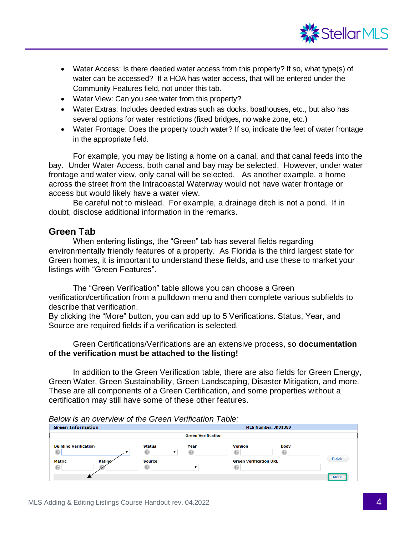

- Water Access: Is there deeded water access from this property? If so, what type(s) of water can be accessed? If a HOA has water access, that will be entered under the Community Features field, not under this tab.
- Water View: Can you see water from this property?
- Water Extras: Includes deeded extras such as docks, boathouses, etc., but also has several options for water restrictions (fixed bridges, no wake zone, etc.)
- Water Frontage: Does the property touch water? If so, indicate the feet of water frontage in the appropriate field.

For example, you may be listing a home on a canal, and that canal feeds into the bay. Under Water Access, both canal and bay may be selected. However, under water frontage and water view, only canal will be selected. As another example, a home across the street from the Intracoastal Waterway would not have water frontage or access but would likely have a water view.

Be careful not to mislead. For example, a drainage ditch is not a pond. If in doubt, disclose additional information in the remarks.

#### **Green Tab**

When entering listings, the "Green" tab has several fields regarding environmentally friendly features of a property. As Florida is the third largest state for Green homes, it is important to understand these fields, and use these to market your listings with "Green Features".

The "Green Verification" table allows you can choose a Green verification/certification from a pulldown menu and then complete various subfields to describe that verification.

By clicking the "More" button, you can add up to 5 Verifications. Status, Year, and Source are required fields if a verification is selected.

Green Certifications/Verifications are an extensive process, so **documentation of the verification must be attached to the listing!** 

In addition to the Green Verification table, there are also fields for Green Energy, Green Water, Green Sustainability, Green Landscaping, Disaster Mitigation, and more. These are all components of a Green Certification, and some properties without a certification may still have some of these other features.

*Below is an overview of the Green Verification Table:* 

| <b>Green Information</b>                                            |               |                                            |                           | <b>MLS Number: J901389</b>                      |             |               |  |
|---------------------------------------------------------------------|---------------|--------------------------------------------|---------------------------|-------------------------------------------------|-------------|---------------|--|
|                                                                     |               |                                            | <b>Green Verification</b> |                                                 |             |               |  |
| <b>Building Verification</b><br>$\odot$<br><b>Metric</b><br>$\odot$ | <b>Ratino</b> | <b>Status</b><br>ِ െ<br><b>Source</b><br>ِ | Year<br>€                 | <b>Version</b><br><b>Green Verification URL</b> | <b>Body</b> | <b>Delete</b> |  |
|                                                                     |               |                                            |                           |                                                 |             | More          |  |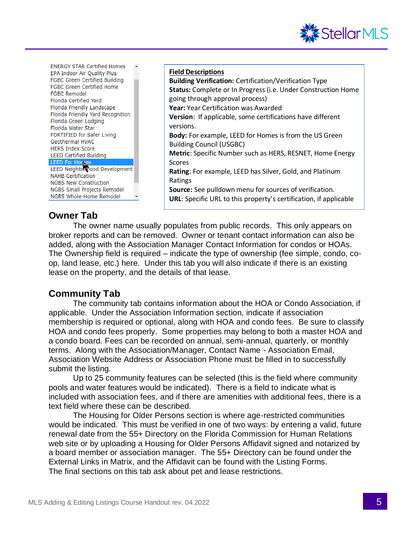

**ENERGY STAR Certified Homes** EPA Indoor Air Quality Plus FGBC Green Certified Building FGBC Green Certified Home **FGBC Remodel** Florida Certified Yard Florida Friendly Landscape Florida Friendly Yard Recognition Florida Green Lodging Florida Water Star FORTIFIED for Safer Living Geothermal HVAC **HERS Index Score LEED Certified Building LEED For Homes** LEED Neighborhood Development **NAHB Certification NGBS New Construction** NGBS Small Projects Remodel NGBS Whole-Home Remodel

## **Owner Tab**

**Building Verification:** Certification/Verification Type **Status:** Complete or In Progress (i.e. Under Construction Home going through approval process) **Year:** Year Certification was Awarded **Version**: If applicable, some certifications have different versions. **Body:** For example, LEED for Homes is from the US Green Building Council (USGBC) **Metric**: Specific Number such as HERS, RESNET, Home Energy Scores **Rating**: For example, LEED has Silver, Gold, and Platinum Ratings **Source:** See pulldown menu for sources of verification. **URL**: Specific URL to this property's certification, if applicable

The owner name usually populates from public records. This only appears on broker reports and can be removed. Owner or tenant contact information can also be added, along with the Association Manager Contact Information for condos or HOAs. The Ownership field is required – indicate the type of ownership (fee simple, condo, coop, land lease, etc.) here. Under this tab you will also indicate if there is an existing lease on the property, and the details of that lease.

**Field Descriptions**

## **Community Tab**

The community tab contains information about the HOA or Condo Association, if applicable. Under the Association Information section, indicate if association membership is required or optional, along with HOA and condo fees. Be sure to classify HOA and condo fees properly. Some properties may belong to both a master HOA and a condo board. Fees can be recorded on annual, semi-annual, quarterly, or monthly terms. Along with the Association/Manager, Contact Name - Association Email, Association Website Address or Association Phone must be filled in to successfully submit the listing.

Up to 25 community features can be selected (this is the field where community pools and water features would be indicated). There is a field to indicate what is included with association fees, and if there are amenities with additional fees, there is a text field where these can be described.

The Housing for Older Persons section is where age-restricted communities would be indicated. This must be verified in one of two ways: by entering a valid, future renewal date from the 55+ Directory on the Florida Commission for Human Relations web site or by uploading a Housing for Older Persons Affidavit signed and notarized by a board member or association manager. The 55+ Directory can be found under the External Links in Matrix, and the Affidavit can be found with the Listing Forms. The final sections on this tab ask about pet and lease restrictions.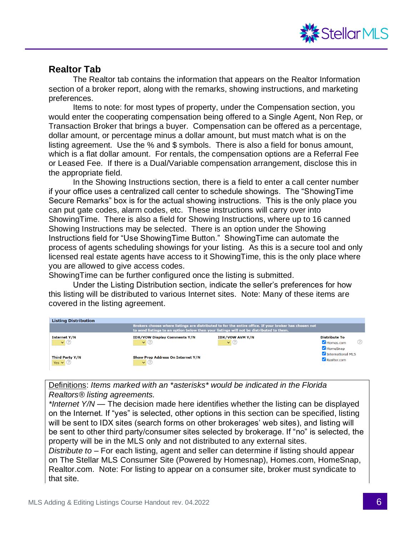

#### **Realtor Tab**

The Realtor tab contains the information that appears on the Realtor Information section of a broker report, along with the remarks, showing instructions, and marketing preferences.

Items to note: for most types of property, under the Compensation section, you would enter the cooperating compensation being offered to a Single Agent, Non Rep, or Transaction Broker that brings a buyer. Compensation can be offered as a percentage, dollar amount, or percentage minus a dollar amount, but must match what is on the listing agreement. Use the % and \$ symbols. There is also a field for bonus amount, which is a flat dollar amount. For rentals, the compensation options are a Referral Fee or Leased Fee. If there is a Dual/Variable compensation arrangement, disclose this in the appropriate field.

In the Showing Instructions section, there is a field to enter a call center number if your office uses a centralized call center to schedule showings. The "ShowingTime Secure Remarks" box is for the actual showing instructions. This is the only place you can put gate codes, alarm codes, etc. These instructions will carry over into ShowingTime. There is also a field for Showing Instructions, where up to 16 canned Showing Instructions may be selected. There is an option under the Showing Instructions field for "Use ShowingTime Button." ShowingTime can automate the process of agents scheduling showings for your listing. As this is a secure tool and only licensed real estate agents have access to it ShowingTime, this is the only place where you are allowed to give access codes.

ShowingTime can be further configured once the listing is submitted.

Under the Listing Distribution section, indicate the seller's preferences for how this listing will be distributed to various Internet sites. Note: Many of these items are covered in the listing agreement.

| <b>Listing Distribution</b>                     | to send listings to an option below then your listings will not be distributed to them. | Brokers choose where listings are distributed to for the entire office. If your broker has chosen not |                                                              |
|-------------------------------------------------|-----------------------------------------------------------------------------------------|-------------------------------------------------------------------------------------------------------|--------------------------------------------------------------|
| <b>Internet Y/N</b><br>$\mathbf{v}(\mathbf{r})$ | <b>IDX/VOW Display Comments Y/N</b><br>$\vee$                                           | <b>IDX/VOW AVM Y/N</b><br>$\vee$                                                                      | <b>Distribute To</b><br>$\blacksquare$ Homes.com<br>HomeSnap |
| Third Party Y/N<br>Yes $\vee$ (?)               | Show Prop Address On Internet Y/N<br>$\sim$                                             |                                                                                                       | International MLS<br>Realtor.com                             |

Definitions: *Items marked with an \*asterisks\* would be indicated in the Florida Realtors® listing agreements.*

*\*Internet Y/N* — The decision made here identifies whether the listing can be displayed on the Internet. If "yes" is selected, other options in this section can be specified, listing will be sent to IDX sites (search forms on other brokerages' web sites), and listing will be sent to other third party/consumer sites selected by brokerage. If "no" is selected, the property will be in the MLS only and not distributed to any external sites.

*Distribute to –* For each listing, agent and seller can determine if listing should appear on The Stellar MLS Consumer Site (Powered by Homesnap), Homes.com, HomeSnap, Realtor.com. Note: For listing to appear on a consumer site, broker must syndicate to that site.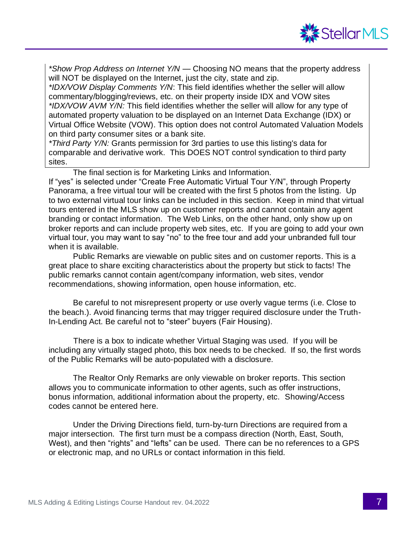

*\*Show Prop Address on Internet Y/N* — Choosing NO means that the property address will NOT be displayed on the Internet, just the city, state and zip.

*\*IDX/VOW Display Comments Y/N*: This field identifies whether the seller will allow commentary/blogging/reviews, etc. on their property inside IDX and VOW sites *\*IDX/VOW AVM Y/N:* This field identifies whether the seller will allow for any type of automated property valuation to be displayed on an Internet Data Exchange (IDX) or Virtual Office Website (VOW). This option does not control Automated Valuation Models on third party consumer sites or a bank site.

*\*Third Party Y/N:* Grants permission for 3rd parties to use this listing's data for comparable and derivative work. This DOES NOT control syndication to third party sites.

The final section is for Marketing Links and Information.

If "yes" is selected under "Create Free Automatic Virtual Tour Y/N", through Property Panorama, a free virtual tour will be created with the first 5 photos from the listing. Up to two external virtual tour links can be included in this section. Keep in mind that virtual tours entered in the MLS show up on customer reports and cannot contain any agent branding or contact information. The Web Links, on the other hand, only show up on broker reports and can include property web sites, etc. If you are going to add your own virtual tour, you may want to say "no" to the free tour and add your unbranded full tour when it is available.

Public Remarks are viewable on public sites and on customer reports. This is a great place to share exciting characteristics about the property but stick to facts! The public remarks cannot contain agent/company information, web sites, vendor recommendations, showing information, open house information, etc.

Be careful to not misrepresent property or use overly vague terms (i.e. Close to the beach.). Avoid financing terms that may trigger required disclosure under the Truth-In-Lending Act. Be careful not to "steer" buyers (Fair Housing).

 There is a box to indicate whether Virtual Staging was used. If you will be including any virtually staged photo, this box needs to be checked. If so, the first words of the Public Remarks will be auto-populated with a disclosure.

The Realtor Only Remarks are only viewable on broker reports. This section allows you to communicate information to other agents, such as offer instructions, bonus information, additional information about the property, etc. Showing/Access codes cannot be entered here.

Under the Driving Directions field, turn-by-turn Directions are required from a major intersection. The first turn must be a compass direction (North, East, South, West), and then "rights" and "lefts" can be used. There can be no references to a GPS or electronic map, and no URLs or contact information in this field.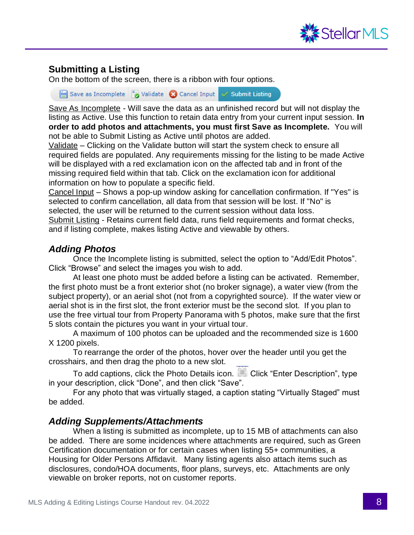

# **Submitting a Listing**

On the bottom of the screen, there is a ribbon with four options.

■ Save as Incomplete ■ Validate ■ Cancel Input → Submit Listing

Save As Incomplete - Will save the data as an unfinished record but will not display the listing as Active. Use this function to retain data entry from your current input session. **In order to add photos and attachments, you must first Save as Incomplete.** You will not be able to Submit Listing as Active until photos are added.

Validate – Clicking on the Validate button will start the system check to ensure all required fields are populated. Any requirements missing for the listing to be made Active will be displayed with a red exclamation icon on the affected tab and in front of the missing required field within that tab. Click on the exclamation icon for additional information on how to populate a specific field.

Cancel Input – Shows a pop-up window asking for cancellation confirmation. If "Yes" is selected to confirm cancellation, all data from that session will be lost. If "No" is selected, the user will be returned to the current session without data loss. Submit Listing - Retains current field data, runs field requirements and format checks, and if listing complete, makes listing Active and viewable by others.

#### *Adding Photos*

Once the Incomplete listing is submitted, select the option to "Add/Edit Photos". Click "Browse" and select the images you wish to add.

At least one photo must be added before a listing can be activated. Remember, the first photo must be a front exterior shot (no broker signage), a water view (from the subject property), or an aerial shot (not from a copyrighted source). If the water view or aerial shot is in the first slot, the front exterior must be the second slot. If you plan to use the free virtual tour from Property Panorama with 5 photos, make sure that the first 5 slots contain the pictures you want in your virtual tour.

A maximum of 100 photos can be uploaded and the recommended size is 1600 X 1200 pixels.

To rearrange the order of the photos, hover over the header until you get the crosshairs, and then drag the photo to a new slot.

To add captions, click the Photo Details icon. Click "Enter Description", type in your description, click "Done", and then click "Save".

For any photo that was virtually staged, a caption stating "Virtually Staged" must be added.

## *Adding Supplements/Attachments*

When a listing is submitted as incomplete, up to 15 MB of attachments can also be added. There are some incidences where attachments are required, such as Green Certification documentation or for certain cases when listing 55+ communities, a Housing for Older Persons Affidavit. Many listing agents also attach items such as disclosures, condo/HOA documents, floor plans, surveys, etc. Attachments are only viewable on broker reports, not on customer reports.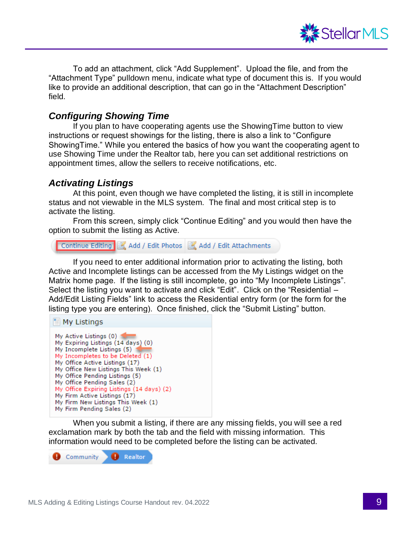

To add an attachment, click "Add Supplement". Upload the file, and from the "Attachment Type" pulldown menu, indicate what type of document this is. If you would like to provide an additional description, that can go in the "Attachment Description" field.

#### *Configuring Showing Time*

If you plan to have cooperating agents use the ShowingTime button to view instructions or request showings for the listing, there is also a link to "Configure ShowingTime." While you entered the basics of how you want the cooperating agent to use Showing Time under the Realtor tab, here you can set additional restrictions on appointment times, allow the sellers to receive notifications, etc.

#### *Activating Listings*

At this point, even though we have completed the listing, it is still in incomplete status and not viewable in the MLS system. The final and most critical step is to activate the listing.

From this screen, simply click "Continue Editing" and you would then have the option to submit the listing as Active.

```
Continue Editing 4 Add / Edit Photos 4 Add / Edit Attachments
```
If you need to enter additional information prior to activating the listing, both Active and Incomplete listings can be accessed from the My Listings widget on the Matrix home page. If the listing is still incomplete, go into "My Incomplete Listings". Select the listing you want to activate and click "Edit". Click on the "Residential – Add/Edit Listing Fields" link to access the Residential entry form (or the form for the listing type you are entering). Once finished, click the "Submit Listing" button.



When you submit a listing, if there are any missing fields, you will see a red exclamation mark by both the tab and the field with missing information. This information would need to be completed before the listing can be activated.

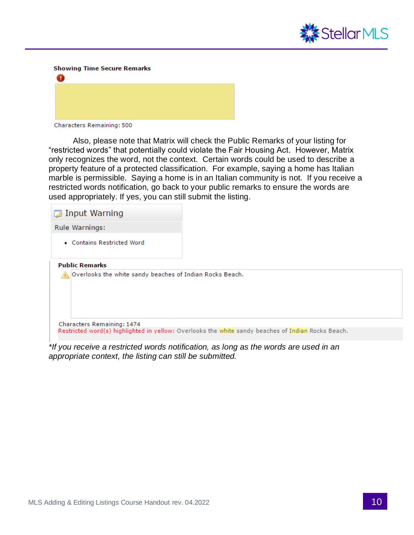

**Showing Time Secure Remarks** 



Characters Remaining: 500

Also, please note that Matrix will check the Public Remarks of your listing for "restricted words" that potentially could violate the Fair Housing Act. However, Matrix only recognizes the word, not the context. Certain words could be used to describe a property feature of a protected classification. For example, saying a home has Italian marble is permissible. Saying a home is in an Italian community is not. If you receive a restricted words notification, go back to your public remarks to ensure the words are used appropriately. If yes, you can still submit the listing.

| Input Warning                                            |                                                                                                    |
|----------------------------------------------------------|----------------------------------------------------------------------------------------------------|
| <b>Rule Warnings:</b>                                    |                                                                                                    |
| • Contains Restricted Word                               |                                                                                                    |
| <b>Public Remarks</b>                                    |                                                                                                    |
| Overlooks the white sandy beaches of Indian Rocks Beach. |                                                                                                    |
| Characters Remaining: 1474                               |                                                                                                    |
|                                                          | Restricted word(s) highlighted in yellow: Overlooks the white sandy beaches of Indian Rocks Beach. |

*\*If you receive a restricted words notification, as long as the words are used in an appropriate context, the listing can still be submitted.*